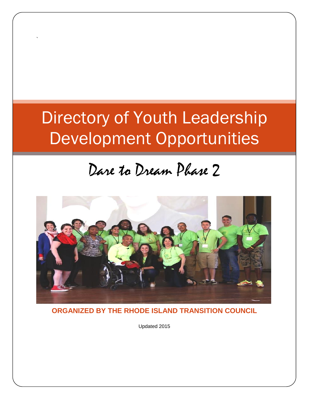# Directory of Youth Leadership Development Opportunities

`

## Dare to Dream Phase 2



**ORGANIZED BY THE RHODE ISLAND TRANSITION COUNCIL**

Updated 2015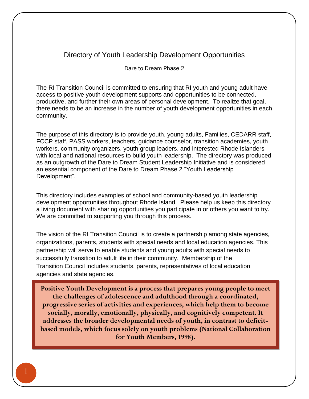## Directory of Youth Leadership Development Opportunities

Dare to Dream Phase 2

The RI Transition Council is committed to ensuring that RI youth and young adult have access to positive youth development supports and opportunities to be connected, productive, and further their own areas of personal development. To realize that goal, there needs to be an increase in the number of youth development opportunities in each community.

The purpose of this directory is to provide youth, young adults, Families, CEDARR staff, FCCP staff, PASS workers, teachers, guidance counselor, transition academies, youth workers, community organizers, youth group leaders, and interested Rhode Islanders with local and national resources to build youth leadership. The directory was produced as an outgrowth of the Dare to Dream Student Leadership Initiative and is considered an essential component of the Dare to Dream Phase 2 "Youth Leadership Development".

This directory includes examples of school and community-based youth leadership development opportunities throughout Rhode Island. Please help us keep this directory a living document with sharing opportunities you participate in or others you want to try. We are committed to supporting you through this process.

The vision of the RI Transition Council is to create a partnership among state agencies, organizations, parents, students with special needs and local education agencies. This partnership will serve to enable students and young adults with special needs to successfully transition to adult life in their community. Membership of the Transition Council includes students, parents, representatives of local education agencies and state agencies.

**Positive Youth Development is a process that prepares young people to meet the challenges of adolescence and adulthood through a coordinated, progressive series of activities and experiences, which help them to become socially, morally, emotionally, physically, and cognitively competent. It addresses the broader developmental needs of youth, in contrast to deficitbased models, which focus solely on youth problems (National Collaboration for Youth Members, 1998).**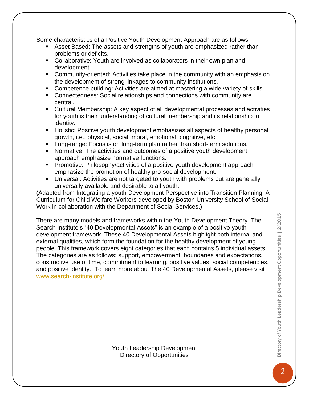Some characteristics of a Positive Youth Development Approach are as follows:

- Asset Based: The assets and strengths of youth are emphasized rather than problems or deficits.
- Collaborative: Youth are involved as collaborators in their own plan and development.
- Community-oriented: Activities take place in the community with an emphasis on the development of strong linkages to community institutions.
- Competence building: Activities are aimed at mastering a wide variety of skills.
- Connectedness: Social relationships and connections with community are central.
- Cultural Membership: A key aspect of all developmental processes and activities for youth is their understanding of cultural membership and its relationship to identity.
- Holistic: Positive youth development emphasizes all aspects of healthy personal growth, i.e., physical, social, moral, emotional, cognitive, etc.
- **Long-range: Focus is on long-term plan rather than short-term solutions.**
- Normative: The activities and outcomes of a positive youth development approach emphasize normative functions.
- **Promotive: Philosophy/activities of a positive youth development approach** emphasize the promotion of healthy pro-social development.
- Universal: Activities are not targeted to youth with problems but are generally universally available and desirable to all youth.

(Adapted from Integrating a youth Development Perspective into Transition Planning; A Curriculum for Child Welfare Workers developed by Boston University School of Social Work in collaboration with the Department of Social Services.)

There are many models and frameworks within the Youth Development Theory. The Search Institute's "40 Developmental Assets" is an example of a positive youth development framework. These 40 Developmental Assets highlight both internal and external qualities, which form the foundation for the healthy development of young people. This framework covers eight categories that each contains 5 individual assets. The categories are as follows: support, empowerment, boundaries and expectations, constructive use of time, commitment to learning, positive values, social competencies, and positive identity. To learn more about The 40 Developmental Assets, please visit [www.search-institute.org/](http://www.search-institute.org/)

Youth Leadership Development Directory of Opportunities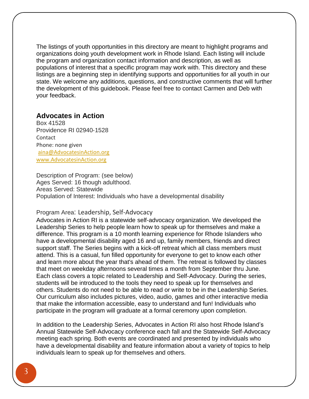The listings of youth opportunities in this directory are meant to highlight programs and organizations doing youth development work in Rhode Island. Each listing will include the program and organization contact information and description, as well as populations of interest that a specific program may work with. This directory and these listings are a beginning step in identifying supports and opportunities for all youth in our state. We welcome any additions, questions, and constructive comments that will further the development of this guidebook. Please feel free to contact Carmen and Deb with your feedback.

## **Advocates in Action**

Box 41528 Providence RI 02940‐1528 **Contact** Phone: none given [aina@AdvocatesinAction.org](mailto:aina@AdvocatesinAction.org) [www.AdvocatesinAction.org](http://www.advocatesinaction.org/)

Description of Program: (see below) Ages Served: 16 though adulthood. Areas Served: Statewide Population of Interest: Individuals who have a developmental disability

#### Program Area: Leadership, Self‐Advocacy

Advocates in Action RI is a statewide self‐advocacy organization. We developed the Leadership Series to help people learn how to speak up for themselves and make a difference. This program is a 10 month learning experience for Rhode Islanders who have a developmental disability aged 16 and up, family members, friends and direct support staff. The Series begins with a kick-off retreat which all class members must attend. This is a casual, fun filled opportunity for everyone to get to know each other and learn more about the year that's ahead of them. The retreat is followed by classes that meet on weekday afternoons several times a month from September thru June. Each class covers a topic related to Leadership and Self‐Advocacy. During the series, students will be introduced to the tools they need to speak up for themselves and others. Students do not need to be able to read or write to be in the Leadership Series. Our curriculum also includes pictures, video, audio, games and other interactive media that make the information accessible, easy to understand and fun! Individuals who participate in the program will graduate at a formal ceremony upon completion.

In addition to the Leadership Series, Advocates in Action RI also host Rhode Island's Annual Statewide Self‐Advocacy conference each fall and the Statewide Self‐Advocacy meeting each spring. Both events are coordinated and presented by individuals who have a developmental disability and feature information about a variety of topics to help individuals learn to speak up for themselves and others.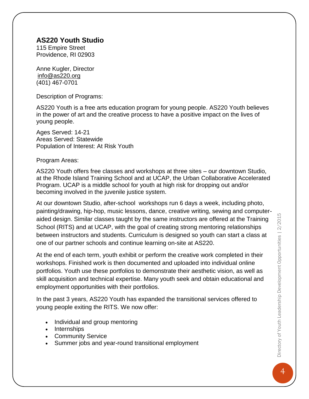## **AS220 Youth Studio**

115 Empire Street Providence, RI 02903

Anne Kugler, Director [info@as220.org](mailto:info@as220.org) (401) 467-0701

Description of Programs:

AS220 Youth is a free arts education program for young people. AS220 Youth believes in the power of art and the creative process to have a positive impact on the lives of young people.

Ages Served: 14-21 Areas Served: Statewide Population of Interest: At Risk Youth

Program Areas:

AS220 Youth offers free classes and workshops at three sites – our downtown Studio, at the Rhode Island Training School and at UCAP, the Urban Collaborative Accelerated Program. UCAP is a middle school for youth at high risk for dropping out and/or becoming involved in the juvenile justice system.

At our downtown Studio, after-school workshops run 6 days a week, including photo, painting/drawing, hip-hop, music lessons, dance, creative writing, sewing and computeraided design. Similar classes taught by the same instructors are offered at the Training School (RITS) and at UCAP, with the goal of creating strong mentoring relationships between instructors and students. Curriculum is designed so youth can start a class at one of our partner schools and continue learning on-site at AS220.

At the end of each term, youth exhibit or perform the creative work completed in their workshops. Finished work is then documented and uploaded into individual online portfolios. Youth use these portfolios to demonstrate their aesthetic vision, as well as skill acquisition and technical expertise. Many youth seek and obtain educational and employment opportunities with their portfolios.

In the past 3 years, AS220 Youth has expanded the transitional services offered to young people exiting the RITS. We now offer:

- Individual and group mentoring
- Internships
- Community Service
- Summer jobs and year-round transitional employment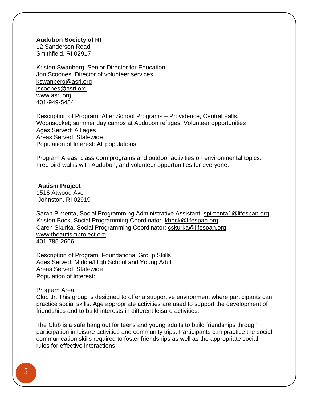#### **Audubon Society of RI**

12 Sanderson Road, Smithfield, RI 02917

Kristen Swanberg, Senior Director for Education Jon Scoones, Director of volunteer services [kswanberg@asri.org](mailto:kswanberg@asri.org)  [jscoones@asri.org](mailto:jscoones@asri.org) [www.asri.org](http://www.asri.org/) 401-949-5454

Description of Program: After School Programs – Providence, Central Falls, Woonsocket; summer day camps at Audubon refuges; Volunteer opportunities Ages Served: All ages Areas Served: Statewide Population of Interest: All populations

Program Areas: classroom programs and outdoor activities on environmental topics. Free bird walks with Audubon, and volunteer opportunities for everyone.

#### **Autism Project**

1516 Atwood Ave Johnston, RI 02919

Sarah Pimenta, Social Programming Administrative Assistant; [spimenta1@lifespan.org](mailto:spimenta1@lifespan.org) Kristen Bock, Social Programming Coordinator; [kbock@lifespan.org](mailto:kbock@lifespan.org) Caren Skurka, Social Programming Coordinator; [cskurka@lifespan.org](mailto:cskurka@lifespan.org) [www.theautismproject.org](http://www.theautismproject.org/) 401-785-2666

Description of Program: Foundational Group Skills Ages Served: Middle/High School and Young Adult Areas Served: Statewide Population of Interest:

Program Area:

Club Jr. This group is designed to offer a supportive environment where participants can practice social skills. Age appropriate activities are used to support the development of friendships and to build interests in different leisure activities.

The Club is a safe hang out for teens and young adults to build friendships through participation in leisure activities and community trips. Participants can practice the social communication skills required to foster friendships as well as the appropriate social rules for effective interactions.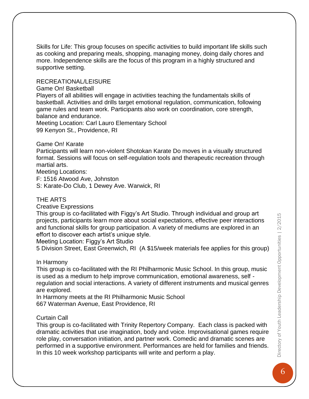Skills for Life: This group focuses on specific activities to build important life skills such as cooking and preparing meals, shopping, managing money, doing daily chores and more. Independence skills are the focus of this program in a highly structured and supportive setting.

## RECREATIONAL/LEISURE

#### Game On! Basketball

Players of all abilities will engage in activities teaching the fundamentals skills of basketball. Activities and drills target emotional regulation, communication, following game rules and team work. Participants also work on coordination, core strength, balance and endurance.

Meeting Location: Carl Lauro Elementary School 99 Kenyon St., Providence, RI

Game On! Karate

Participants will learn non-violent Shotokan Karate Do moves in a visually structured format. Sessions will focus on self-regulation tools and therapeutic recreation through martial arts.

Meeting Locations:

F: 1516 Atwood Ave, Johnston

S: Karate-Do Club, 1 Dewey Ave. Warwick, RI

## THE ARTS

Creative Expressions

This group is co-facilitated with Figgy's Art Studio. Through individual and group art projects, participants learn more about social expectations, effective peer interactions and functional skills for group participation. A variety of mediums are explored in an effort to discover each artist's unique style.

Meeting Location: Figgy's Art Studio

5 Division Street, East Greenwich, RI (A \$15/week materials fee applies for this group)

In Harmony

This group is co-facilitated with the RI Philharmonic Music School. In this group, music is used as a medium to help improve communication, emotional awareness, self regulation and social interactions. A variety of different instruments and musical genres are explored.

In Harmony meets at the RI Philharmonic Music School 667 Waterman Avenue, East Providence, RI

#### Curtain Call

This group is co-facilitated with Trinity Repertory Company. Each class is packed with dramatic activities that use imagination, body and voice. Improvisational games require role play, conversation initiation, and partner work. Comedic and dramatic scenes are performed in a supportive environment. Performances are held for families and friends. In this 10 week workshop participants will write and perform a play.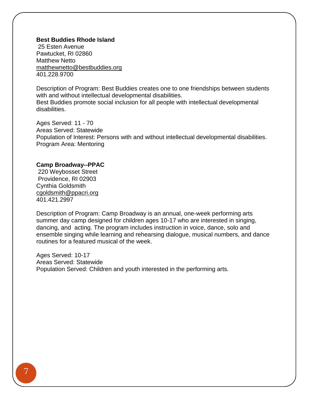#### **Best Buddies Rhode Island**

25 Esten Avenue Pawtucket, RI 02860 Matthew Netto [matthewnetto@bestbuddies.org](mailto:matthewnetto@bestbuddies.org) 401.228.9700

Description of Program: Best Buddies creates one to one friendships between students with and without intellectual developmental disabilities. Best Buddies promote social inclusion for all people with intellectual developmental disabilities.

Ages Served: 11 - 70 Areas Served: Statewide Population of Interest: Persons with and without intellectual developmental disabilities. Program Area: Mentoring

#### **Camp Broadway--PPAC**

220 Weybosset Street Providence, RI 02903 Cynthia Goldsmith [cgoldsmith@ppacri.org](mailto:cgoldsmith@ppacri.org) 401.421.2997

Description of Program: Camp Broadway is an annual, one-week performing arts summer day camp designed for children ages 10-17 who are interested in singing, dancing, and acting. The program includes instruction in voice, dance, solo and ensemble singing while learning and rehearsing dialogue, musical numbers, and dance routines for a featured musical of the week.

Ages Served: 10-17 Areas Served: Statewide Population Served: Children and youth interested in the performing arts.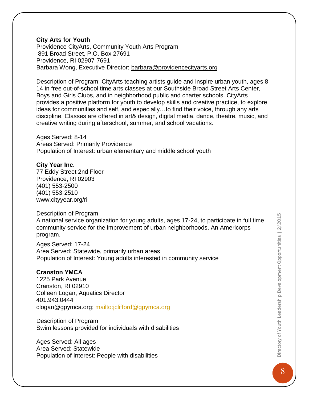#### **City Arts for Youth**

Providence CityArts, Community Youth Arts Program 891 Broad Street, P.O. Box 27691 Providence, RI 02907-7691 Barbara Wong, Executive Director; [barbara@providencecityarts.org](mailto:barbara@providencecityarts.org)

Description of Program: CityArts teaching artists guide and inspire urban youth, ages 8- 14 in free out-of-school time arts classes at our Southside Broad Street Arts Center, Boys and Girls Clubs, and in neighborhood public and charter schools. CityArts provides a positive platform for youth to develop skills and creative practice, to explore ideas for communities and self, and especially…to find their voice, through any arts discipline. Classes are offered in art& design, digital media, dance, theatre, music, and creative writing during afterschool, summer, and school vacations.

Ages Served: 8-14 Areas Served: Primarily Providence Population of Interest: urban elementary and middle school youth

#### **City Year Inc.**

77 Eddy Street 2nd Floor Providence, RI 02903 (401) 553-2500 (401) 553-2510 [www.cityyear.org/ri](http://www.cityyear.org/ri)

#### Description of Program

A national service organization for young adults, ages 17-24, to participate in full time community service for the improvement of urban neighborhoods. An Americorps program.

Ages Served: 17-24 Area Served: Statewide, primarily urban areas Population of Interest: Young adults interested in community service

## **Cranston YMCA**

1225 Park Avenue Cranston, RI 02910 Colleen Logan, Aquatics Director 401.943.0444 [clogan@gpymca.org;](mailto:clogan@gpymca.org)<mailto:jclifford@gpymca.org>

Description of Program Swim lessons provided for individuals with disabilities

Ages Served: All ages Area Served: Statewide Population of Interest: People with disabilities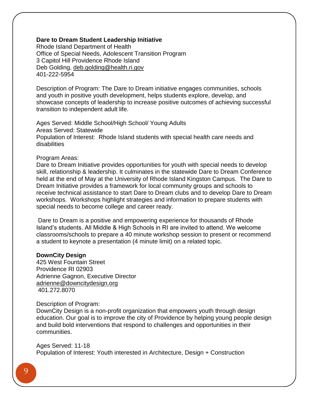#### **Dare to Dream Student Leadership Initiative**

Rhode Island Department of Health Office of Special Needs, Adolescent Transition Program 3 Capitol Hill Providence Rhode Island Deb Golding, [deb.golding@health.ri.gov](mailto:deb.golding@health.ri.gov) 401-222-5954

Description of Program: The Dare to Dream initiative engages communities, schools and youth in positive youth development, helps students explore, develop, and showcase concepts of leadership to increase positive outcomes of achieving successful transition to independent adult life.

Ages Served: Middle School/High School/ Young Adults Areas Served: Statewide Population of Interest: Rhode Island students with special health care needs and disabilities

#### Program Areas:

Dare to Dream Initiative provides opportunities for youth with special needs to develop skill, relationship & leadership. It culminates in the statewide Dare to Dream Conference held at the end of May at the University of Rhode Island Kingston Campus. The Dare to Dream Initiative provides a framework for local community groups and schools to receive technical assistance to start Dare to Dream clubs and to develop Dare to Dream workshops. Workshops highlight strategies and information to prepare students with special needs to become college and career ready.

Dare to Dream is a positive and empowering experience for thousands of Rhode Island's students. All Middle & High Schools in RI are invited to attend. We welcome classrooms/schools to prepare a 40 minute workshop session to present or recommend a student to keynote a presentation (4 minute limit) on a related topic.

#### **DownCity Design**

425 West Fountain Street Providence RI 02903 Adrienne Gagnon, Executive Director [adrienne@downcitydesign.org](mailto:adrienne@downcitydesign.org) 401.272.8070

#### Description of Program:

DownCity Design is a non-profit organization that empowers youth through design education. Our goal is to improve the city of Providence by helping young people design and build bold interventions that respond to challenges and opportunities in their communities.

Ages Served: 11-18 Population of Interest: Youth interested in Architecture, Design + Construction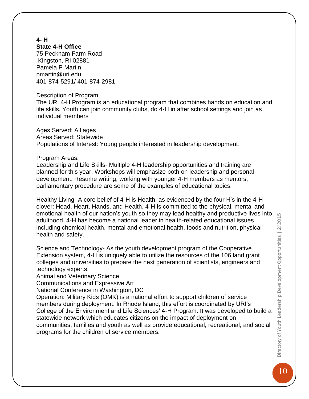#### **4- H State 4-H Office**

75 Peckham Farm Road Kingston, RI 02881 Pamela P Martin [pmartin@uri.edu](mailto:pmartin@uri.edu)  401-874-5291/ 401-874-2981

#### Description of Program

The URI 4-H Program is an educational program that combines hands on education and life skills. Youth can join community clubs, do 4-H in after school settings and join as individual members

Ages Served: All ages Areas Served: Statewide Populations of Interest: Young people interested in leadership development.

#### Program Areas:

Leadership and Life Skills- Multiple 4-H leadership opportunities and training are planned for this year. Workshops will emphasize both on leadership and personal development. Resume writing, working with younger 4-H members as mentors, parliamentary procedure are some of the examples of educational topics.

Healthy Living- A core belief of 4-H is Health, as evidenced by the four H's in the 4-H clover: Head, Heart, Hands, and Health. 4-H is committed to the physical, mental and emotional health of our nation's youth so they may lead healthy and productive lives into adulthood. 4-H has become a national leader in health-related educational issues including chemical health, mental and emotional health, foods and nutrition, physical health and safety.

Science and Technology- As the youth development program of the Cooperative Extension system, 4-H is uniquely able to utilize the resources of the 106 land grant colleges and universities to prepare the next generation of scientists, engineers and technology experts.

Animal and Veterinary Science

Communications and Expressive Art

National Conference in Washington, DC

Operation: Military Kids (OMK) is a national effort to support children of service members during deployment. In Rhode Island, this effort is coordinated by URI's College of the Environment and Life Sciences' 4-H Program. It was developed to build a statewide network which educates citizens on the impact of deployment on communities, families and youth as well as provide educational, recreational, and social programs for the children of service members.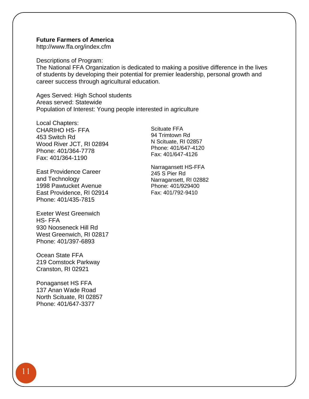#### **Future Farmers of America**

<http://www.ffa.org/index.cfm>

Descriptions of Program:

The National FFA Organization is dedicated to making a positive difference in the lives of students by developing their potential for premier leadership, personal growth and career success through agricultural education.

Ages Served: High School students Areas served: Statewide Population of Interest: Young people interested in agriculture

Local Chapters: CHARIHO HS- FFA 453 Switch Rd Wood River JCT, RI 02894 Phone: 401/364-7778 Fax: 401/364-1190

East Providence Career and Technology 1998 Pawtucket Avenue East Providence, RI 02914 Phone: 401/435-7815

Exeter West Greenwich HS- FFA 930 Nooseneck Hill Rd West Greenwich, RI 02817 Phone: 401/397-6893

Ocean State FFA 219 Comstock Parkway Cranston, RI 02921

Ponaganset HS FFA 137 Anan Wade Road North Scituate, RI 02857 Phone: 401/647-3377

Scituate FFA 94 Trimtown Rd N Scituate, RI 02857 Phone: 401/647-4120 Fax: 401/647-4126

Narragansett HS-FFA 245 S Pier Rd Narragansett, RI 02882 Phone: 401/929400 Fax: 401/792-9410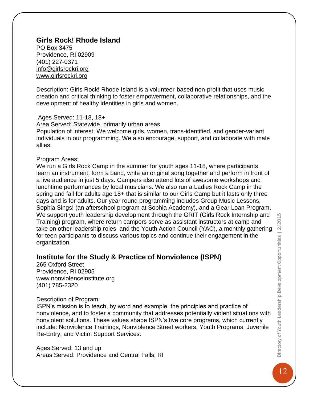## **Girls Rock! Rhode Island**

PO Box 3475 Providence, RI 02909 (401) 227-0371 [info@girlsrockri.org](mailto:info@girlsrockri.org) [www.girlsrockri.org](http://www.girlsrockri.org/)

Description: Girls Rock! Rhode Island is a volunteer-based non-profit that uses music creation and critical thinking to foster empowerment, collaborative relationships, and the development of healthy identities in girls and women.

Ages Served: 11-18, 18+

Area Served: Statewide, primarily urban areas Population of interest: We welcome girls, women, trans-identified, and gender-variant individuals in our programming. We also encourage, support, and collaborate with male allies.

#### Program Areas:

We run a Girls Rock Camp in the summer for youth ages 11-18, where participants learn an instrument, form a band, write an original song together and perform in front of a live audience in just 5 days. Campers also attend lots of awesome workshops and lunchtime performances by local musicians. We also run a Ladies Rock Camp in the spring and fall for adults age 18+ that is similar to our Girls Camp but it lasts only three days and is for adults. Our year round programming includes Group Music Lessons, Sophia Sings! (an afterschool program at Sophia Academy), and a Gear Loan Program. We support youth leadership development through the GRIT (Girls Rock Internship and Training) program, where return campers serve as assistant instructors at camp and take on other leadership roles, and the Youth Action Council (YAC), a monthly gathering for teen participants to discuss various topics and continue their engagement in the organization.

## **Institute for the Study & Practice of Nonviolence (ISPN)**

265 Oxford Street Providence, RI 02905 [www.nonviolenceinstitute.org](http://www.nonviolenceinstitute.org/) (401) 785-2320

## Description of Program:

ISPN's mission is to teach, by word and example, the principles and practice of nonviolence, and to foster a community that addresses potentially violent situations with nonviolent solutions. These values shape ISPN's five core programs, which currently include: Nonviolence Trainings, Nonviolence Street workers, Youth Programs, Juvenile Re-Entry, and Victim Support Services.

Ages Served: 13 and up Areas Served: Providence and Central Falls, RI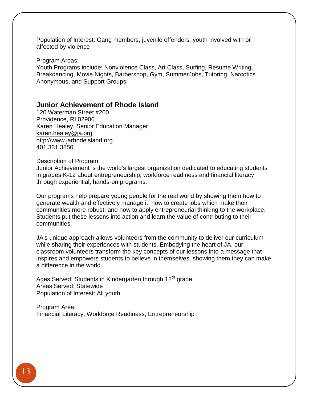Population of Interest: Gang members, juvenile offenders, youth involved with or affected by violence

Program Areas:

Youth Programs include: Nonviolence Class, Art Class, Surfing, Resume Writing, Breakdancing, Movie Nights, Barbershop, Gym, SummerJobs, Tutoring, Narcotics Anonymous, and Support Groups.

## **Junior Achievement of Rhode Island**

120 Waterman Street #200 Providence, RI 02906 Karen Healey, Senior Education Manager karen.healey@ja.org [http://www.jarhodeisland.org](http://www.jarhodeisland.org/) 401.331.3850

Description of Program:

Junior Achievement is the world's largest organization dedicated to educating students in grades K-12 about entrepreneurship, workforce readiness and financial literacy through experiential, hands-on programs.

Our programs help prepare young people for the real world by showing them how to generate wealth and effectively manage it, how to create jobs which make their communities more robust, and how to apply entrepreneurial thinking to the workplace. Students put these lessons into action and learn the value of contributing to their communities.

JA's unique approach allows volunteers from the community to deliver our curriculum while sharing their experiences with students. Embodying the heart of JA, our classroom volunteers transform the key concepts of our lessons into a message that inspires and empowers students to believe in themselves, showing them they can make a difference in the world.

Ages Served: Students in Kindergarten through 12<sup>th</sup> grade Areas Served: Statewide Population of Interest: All youth

Program Area: Financial Literacy, Workforce Readiness, Entrepreneurship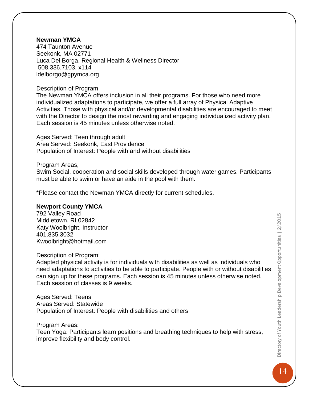## **Newman YMCA**

474 Taunton Avenue Seekonk, MA 02771 Luca Del Borga, Regional Health & Wellness Director 508.336.7103, x114 [ldelborgo@gpymca.org](mailto:ldelborgo@gpymca.org)

#### Description of Program

The Newman YMCA offers inclusion in all their programs. For those who need more individualized adaptations to participate, we offer a full array of Physical Adaptive Activities. Those with physical and/or developmental disabilities are encouraged to meet with the Director to design the most rewarding and engaging individualized activity plan. Each session is 45 minutes unless otherwise noted.

Ages Served: Teen through adult Area Served: Seekonk, East Providence Population of Interest: People with and without disabilities

#### Program Areas,

Swim Social, cooperation and social skills developed through water games. Participants must be able to swim or have an aide in the pool with them.

\*Please contact the Newman YMCA directly for current schedules.

#### **Newport County YMCA**

792 Valley Road Middletown, RI 02842 Katy Woolbright, Instructor 401.835.3032 [Kwoolbright@hotmail.com](mailto:Kwoolbright@hotmail.com)

#### Description of Program:

Adapted physical activity is for individuals with disabilities as well as individuals who need adaptations to activities to be able to participate. People with or without disabilities can sign up for these programs. Each session is 45 minutes unless otherwise noted. Each session of classes is 9 weeks.

Ages Served: Teens Areas Served: Statewide Population of Interest: People with disabilities and others

Program Areas:

Teen Yoga: Participants learn positions and breathing techniques to help with stress, improve flexibility and body control.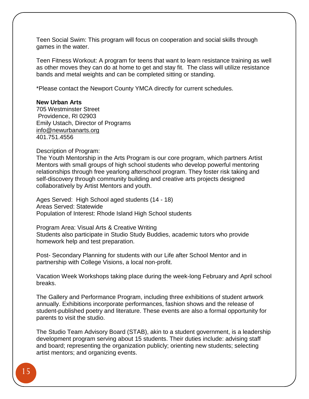Teen Social Swim: This program will focus on cooperation and social skills through games in the water.

Teen Fitness Workout: A program for teens that want to learn resistance training as well as other moves they can do at home to get and stay fit. The class will utilize resistance bands and metal weights and can be completed sitting or standing.

\*Please contact the Newport County YMCA directly for current schedules.

#### **New Urban Arts**

705 Westminster Street Providence, RI 02903 Emily Ustach, Director of Programs [info@newurbanarts.org](mailto:info@newurbanarts.org) 401.751.4556

Description of Program:

The Youth Mentorship in the Arts Program is our core program, which partners Artist Mentors with small groups of high school students who develop powerful mentoring relationships through free yearlong afterschool program. They foster risk taking and self-discovery through community building and creative arts projects designed collaboratively by Artist Mentors and youth.

Ages Served: High School aged students (14 - 18) Areas Served: Statewide Population of Interest: Rhode Island High School students

Program Area: Visual Arts & Creative Writing Students also participate in Studio Study Buddies, academic tutors who provide homework help and test preparation.

Post- Secondary Planning for students with our Life after School Mentor and in partnership with College Visions, a local non-profit.

Vacation Week Workshops taking place during the week-long February and April school breaks.

The Gallery and Performance Program, including three exhibitions of student artwork annually. Exhibitions incorporate performances, fashion shows and the release of student-published poetry and literature. These events are also a formal opportunity for parents to visit the studio.

The Studio Team Advisory Board (STAB), akin to a student government, is a leadership development program serving about 15 students. Their duties include: advising staff and board; representing the organization publicly; orienting new students; selecting artist mentors; and organizing events.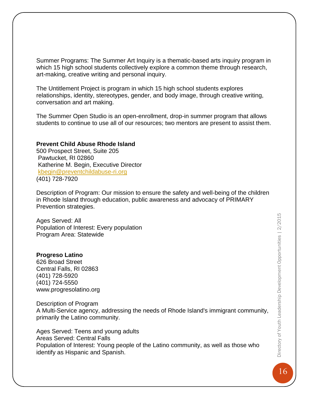Summer Programs: The Summer Art Inquiry is a thematic-based arts inquiry program in which 15 high school students collectively explore a common theme through research, art-making, creative writing and personal inquiry.

The Untitlement Project is program in which 15 high school students explores relationships, identity, stereotypes, gender, and body image, through creative writing, conversation and art making.

The Summer Open Studio is an open-enrollment, drop-in summer program that allows students to continue to use all of our resources; two mentors are present to assist them.

#### **Prevent Child Abuse Rhode Island**

500 Prospect Street, Suite 205 Pawtucket, RI 02860 Katherine M. Begin, Executive Director [kbegin@preventchildabuse-ri.org](mailto:kbegin@preventchildabuse-ri.org) (401) 728-7920

Description of Program: Our mission to ensure the safety and well-being of the children in Rhode Island through education, public awareness and advocacy of PRIMARY Prevention strategies.

Ages Served: All Population of Interest: Every population Program Area: Statewide

#### **[Progreso Latino](http://www.bestbuddiesrhodeisland.org/)**

[626 Broad Street](http://www.bestbuddiesrhodeisland.org/) [Central Falls, RI 02863](http://www.bestbuddiesrhodeisland.org/) [\(401\) 728-5920](http://www.bestbuddiesrhodeisland.org/) [\(401\) 724-5550](http://www.bestbuddiesrhodeisland.org/) [www.progresolatino.org](http://www.bestbuddiesrhodeisland.org/)

Description of Program

[A Multi-Service agency, addressing the needs of Rhode Island's immigrant community,](http://www.bestbuddiesrhodeisland.org/)  [primarily the Latino community.](http://www.bestbuddiesrhodeisland.org/)

[Ages Served: Teens and young adults](http://www.bestbuddiesrhodeisland.org/) [Areas Served:](http://www.bestbuddiesrhodeisland.org/) Central Falls Population of Interest: [Young people of the Latino community, as well as those who](http://www.bestbuddiesrhodeisland.org/)  [identify as Hispanic and Spanish.](http://www.bestbuddiesrhodeisland.org/)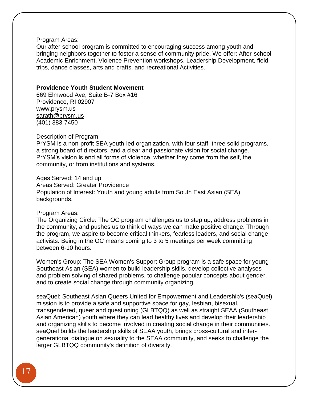#### [Program Areas:](http://www.bestbuddiesrhodeisland.org/)

[Our after-school program is committed to encouraging success among youth and](http://www.bestbuddiesrhodeisland.org/)  [bringing neighbors together to foster a sense of community pride. We offer: After-school](http://www.bestbuddiesrhodeisland.org/)  [Academic Enrichment, Violence Prevention workshops, Leadership Development, field](http://www.bestbuddiesrhodeisland.org/)  [trips, dance classes, arts and crafts, and recreational Activities.](http://www.bestbuddiesrhodeisland.org/)

#### **[Providence Youth Student Movement](http://www.bestbuddiesrhodeisland.org/)**

669 Elmwood Ave, Suite B-7 Box #16 [Providence, RI 02907](http://www.bestbuddiesrhodeisland.org/) [www.prysm.us](http://www.bestbuddiesrhodeisland.org/) [sarath@prysm.us](mailto:sarath@prysm.us) [\(401\) 383-7450](http://www.bestbuddiesrhodeisland.org/)

Description of Program:

[PrYSM is a non-profit SEA youth-led organization, with four staff, three solid programs,](http://www.bestbuddiesrhodeisland.org/)  [a strong board of directors, and a clear and passionate vision for social change.](http://www.bestbuddiesrhodeisland.org/)  [PrYSM's vision is end all forms of violence, whether they come from the self, the](http://www.bestbuddiesrhodeisland.org/)  [community, or from institutions and systems.](http://www.bestbuddiesrhodeisland.org/)

#### [Ages Served: 14 and up](http://www.bestbuddiesrhodeisland.org/)

Areas Served: [Greater Providence](http://www.bestbuddiesrhodeisland.org/) [Population of Interest: Youth and young adults from South East Asian \(SEA\)](http://www.bestbuddiesrhodeisland.org/)  [backgrounds.](http://www.bestbuddiesrhodeisland.org/)

#### [Program Areas:](http://www.bestbuddiesrhodeisland.org/)

[The Organizing Circle: The OC program challenges us to step up, address problems in](http://www.bestbuddiesrhodeisland.org/)  [the community, and pushes us to think of ways we can make positive change. Through](http://www.bestbuddiesrhodeisland.org/)  [the program, we aspire to become critical thinkers, fearless leaders, and social change](http://www.bestbuddiesrhodeisland.org/)  [activists. Being in the OC means coming to 3 to 5 meetings per week committing](http://www.bestbuddiesrhodeisland.org/)  [between 6-10 hours.](http://www.bestbuddiesrhodeisland.org/)

[Women's Group: The SEA Women's Support Group program is a safe space for young](http://www.bestbuddiesrhodeisland.org/)  [Southeast Asian \(SEA\) women to build leadership skills, develop collective analyses](http://www.bestbuddiesrhodeisland.org/)  [and problem solving of shared problems, to challenge popular concepts about gender,](http://www.bestbuddiesrhodeisland.org/)  [and to create social change through community organizing.](http://www.bestbuddiesrhodeisland.org/)

[seaQuel: Southeast Asian Queers United for Empowerment and Leadership's \(seaQuel\)](http://www.bestbuddiesrhodeisland.org/)  [mission is to provide a safe and supportive space for gay, lesbian, bisexual,](http://www.bestbuddiesrhodeisland.org/)  [transgendered, queer and questioning \(GLBTQQ\) as well as straight SEAA \(Southeast](http://www.bestbuddiesrhodeisland.org/)  [Asian American\) youth where they can lead healthy lives and develop their leadership](http://www.bestbuddiesrhodeisland.org/)  [and organizing skills to become involved in creating social change in their communities.](http://www.bestbuddiesrhodeisland.org/)  [seaQuel builds the leadership skills of SEAA youth, brings cross-cultural and inter](http://www.bestbuddiesrhodeisland.org/)[generational dialogue on sexuality to the SEAA community, and seeks to challenge the](http://www.bestbuddiesrhodeisland.org/)  [larger GLBTQQ community's definition of diversity.](http://www.bestbuddiesrhodeisland.org/)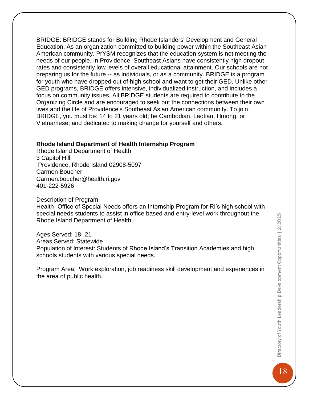[BRIDGE: BRIDGE stands for Building Rhode Islanders' Development and General](http://www.bestbuddiesrhodeisland.org/)  [Education. As an organization committed to building power within the Southeast Asian](http://www.bestbuddiesrhodeisland.org/)  [American community, PrYSM recognizes that the education system is not meeting the](http://www.bestbuddiesrhodeisland.org/)  [needs of our people. In Providence, Southeast Asians have consistently high dropout](http://www.bestbuddiesrhodeisland.org/)  [rates and consistently low levels of overall educational attainment. Our schools are not](http://www.bestbuddiesrhodeisland.org/)  preparing us for the future -- [as individuals, or as a community. BRIDGE is a program](http://www.bestbuddiesrhodeisland.org/)  [for youth who have dropped out of high school and want to get their GED. Unlike other](http://www.bestbuddiesrhodeisland.org/)  [GED programs, BRIDGE offers intensive, individualized instruction, and includes a](http://www.bestbuddiesrhodeisland.org/)  [focus on community issues. All BRIDGE students are required to contribute to the](http://www.bestbuddiesrhodeisland.org/)  [Organizing Circle and are encouraged to seek out the connections between their own](http://www.bestbuddiesrhodeisland.org/)  [lives and the life of Providence's Southeast Asian American community. To join](http://www.bestbuddiesrhodeisland.org/)  [BRIDGE, you must be: 14 to 21 years old; be Cambodian, Laotian, Hmong,](http://www.bestbuddiesrhodeisland.org/) or [Vietnamese; and dedicated to making change for yourself and others.](http://www.bestbuddiesrhodeisland.org/)

#### **Rhode Island Department of Health Internship Program**

Rhode Island Department of Health 3 Capitol Hill Providence, Rhode Island 02908-5097 Carmen Boucher [Carmen.boucher@health.ri.gov](mailto:Carmen.boucher@health.ri.gov) 401-222-5926

#### Description of Program

Health- Office of Special Needs offers an Internship Program for RI's high school with special needs students to assist in office based and entry-level work throughout the Rhode Island Department of Health.

Ages Served: 18- 21 Areas Served: Statewide Population of Interest: Students of Rhode Island's Transition Academies and high schools students with various special needs.

Program Area: Work exploration, job readiness skill development and experiences in the area of public health.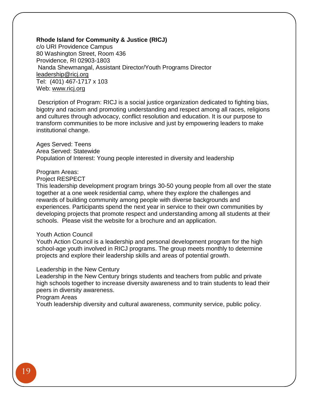#### **Rhode Island for Community & Justice (RICJ)**

c/o URI Providence Campus 80 Washington Street, Room 436 Providence, RI 02903-1803 Nanda Shewmangal, Assistant Director/Youth Programs Director [leadership@ricj.org](mailto:leadership@ricj.org) Tel: (401) 467-1717 x 103 Web: [www.ricj.org](http://www.ricj.org/)

Description of Program: RICJ is a social justice organization dedicated to fighting bias, bigotry and racism and promoting understanding and respect among all races, religions and cultures through advocacy, conflict resolution and education. It is our purpose to transform communities to be more inclusive and just by empowering leaders to make institutional change.

Ages Served: Teens Area Served: Statewide Population of Interest: Young people interested in diversity and leadership

#### Program Areas:

Project RESPECT

This leadership development program brings 30-50 young people from all over the state together at a one week residential camp, where they explore the challenges and rewards of building community among people with diverse backgrounds and experiences. Participants spend the next year in service to their own communities by developing projects that promote respect and understanding among all students at their schools. Please visit the website for a brochure and an application.

#### Youth Action Council

Youth Action Council is a leadership and personal development program for the high school-age youth involved in RICJ programs. The group meets monthly to determine projects and explore their leadership skills and areas of potential growth.

#### Leadership in the New Century

Leadership in the New Century brings students and teachers from public and private high schools together to increase diversity awareness and to train students to lead their peers in diversity awareness.

Program Areas

Youth leadership diversity and cultural awareness, community service, public policy.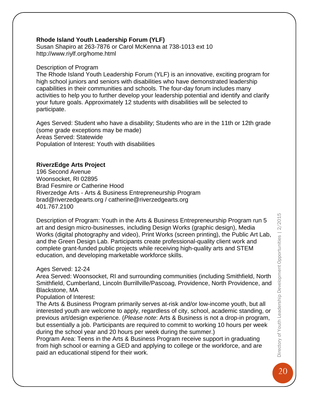## **Rhode Island Youth Leadership Forum (YLF)**

Susan Shapiro at 263-7876 or Carol McKenna at 738-1013 ext 10 <http://www.riylf.org/home.html>

#### Description of Program

The Rhode Island Youth Leadership Forum (YLF) is an innovative, exciting program for high school juniors and seniors with disabilities who have demonstrated leadership capabilities in their communities and schools. The four-day forum includes many activities to help you to further develop your leadership potential and identify and clarify your future goals. Approximately 12 students with disabilities will be selected to participate.

Ages Served: Student who have a disability; Students who are in the 11th or 12th grade (some grade exceptions may be made) Areas Served: Statewide Population of Interest: Youth with disabilities

## **RiverzEdge Arts Project**

196 Second Avenue Woonsocket, RI 02895 Brad Fesmire *or* Catherine Hood Riverzedge Arts - Arts & Business Entrepreneurship Program [brad@riverzedgearts.org](mailto:brad@riverzedgearts.org) / [catherine@riverzedgearts.org](mailto:catherine@riverzedgearts.org) 401.767.2100

Description of Program: Youth in the Arts & Business Entrepreneurship Program run 5 art and design micro-businesses, including Design Works (graphic design), Media Works (digital photography and video), Print Works (screen printing), the Public Art Lab, and the Green Design Lab. Participants create professional-quality client work and complete grant-funded public projects while receiving high-quality arts and STEM education, and developing marketable workforce skills.

## Ages Served: 12-24

Area Served: Woonsocket, RI and surrounding communities (including Smithfield, North Smithfield, Cumberland, Lincoln Burrillville/Pascoag, Providence, North Providence, and Blackstone, MA

Population of Interest:

The Arts & Business Program primarily serves at-risk and/or low-income youth, but all interested youth are welcome to apply, regardless of city, school, academic standing, or previous art/design experience. (*Please note*: Arts & Business is not a drop-in program, but essentially a job. Participants are required to commit to working 10 hours per week during the school year and 20 hours per week during the summer.)

Program Area: Teens in the Arts & Business Program receive support in graduating from high school or earning a GED and applying to college or the workforce, and are paid an educational stipend for their work.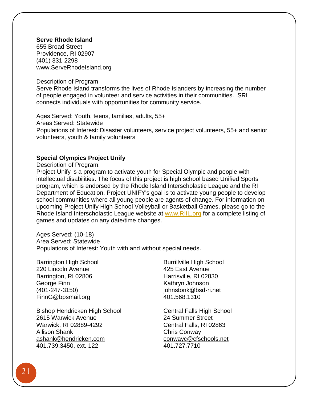### **Serve Rhode Island**

655 Broad Street Providence, RI 02907 (401) 331-2298 [www.ServeRhodeIsland.org](http://www.serverhodeisland.org/)

Description of Program

Serve Rhode Island transforms the lives of Rhode Islanders by increasing the number of people engaged in volunteer and service activities in their communities. SRI connects individuals with opportunities for community service.

Ages Served: Youth, teens, families, adults, 55+ Areas Served: Statewide Populations of Interest: Disaster volunteers, service project volunteers, 55+ and senior volunteers, youth & family volunteers

#### **Special Olympics Project Unify**

Description of Program:

Project Unify is a program to activate youth for Special Olympic and people with intellectual disabilities. The focus of this project is high school based Unified Sports program, which is endorsed by the Rhode Island Interscholastic League and the RI Department of Education. Project UNIFY's goal is to activate young people to develop school communities where all young people are agents of change. For information on upcoming Project Unify High School Volleyball or Basketball Games, please go to the Rhode Island Interscholastic League website at [www.RIIL.org](http://www.riil.org/) for a complete listing of games and updates on any date/time changes.

Ages Served: (10-18) Area Served: Statewide Populations of Interest: Youth with and without special needs.

Barrington High School 220 Lincoln Avenue Barrington, RI 02806 George Finn (401-247-3150) [FinnG@bpsmail.org](mailto:FinnG@bpsmail.org)

Bishop Hendricken High School 2615 Warwick Avenue Warwick, RI 02889-4292 Allison Shank [ashank@hendricken.com](mailto:ashank@hendricken.com) 401.739.3450, ext. 122

Burrillville High School 425 East Avenue Harrisville, RI 02830 Kathryn Johnson [johnstonk@bsd-ri.net](mailto:johnstonk@bsd-ri.net) 401.568.1310

Central Falls High School 24 Summer Street Central Falls, RI 02863 Chris Conway [conwayc@cfschools.net](mailto:conwayc@cfschools.net) 401.727.7710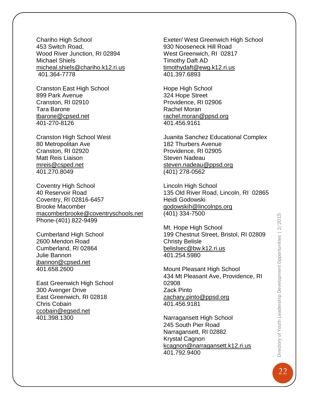Chariho High School 453 Switch Road, Wood River Junction, RI 02894 Michael Shiels [micheal.shiels@chariho.k12.ri.us](mailto:micheal.shiels@chariho.k12.ri.us) 401.364-7778

Cranston East High School 899 Park Avenue Cranston, RI 02910 Tara Barone [tbarone@cpsed.net](mailto:tbarone@cpsed.net) 401-270-8126

Cranston High School West 80 Metropolitan Ave Cranston, RI 02920 Matt Reis Liaison [mreis@csped.net](mailto:mreis@csped.net) 401.270.8049

Coventry High School 40 Reservoir Road Coventry, RI 02816-6457 Brooke Macomber [macomberbrooke@coventryschools.net](mailto:macomberbrooke@coventryschools.net) Phone-(401) 822-9499

Cumberland High School 2600 Mendon Road Cumberland, RI 02864 Julie Bannon [jbannon@cpsed.net](mailto:jbannon@cpsed.net) 401.658.2600

East Greenwich High School 300 Avenger Drive East Greenwich, RI 02818 Chris Cobain [ccobain@egsed.net](mailto:ccobain@egsed.net) 401.398.1300

Exeter/ West Greenwich High School 930 Nooseneck Hill Road West Greenwich, RI 02817 Timothy Daft AD [timothydaft@ewg.k12.ri.us](mailto:timothydaft@ewg.k12.ri.us) 401.397.6893

Hope High School 324 Hope Street Providence, RI 02906 Rachel Moran [rachel.moran@ppsd.org](mailto:rachel.moran@ppsd.org) 401.456.9161

Juanita Sanchez Educational Complex 182 Thurbers Avenue Providence, RI 02905 Steven Nadeau [steven.nadeau@ppsd.org](mailto:steven.nadeau@ppsd.org) (401) 278-0562

Lincoln High School 135 Old River Road, Lincoln, RI 02865 Heidi Godowski [godowskih@lincolnps.org](mailto:godowskih@lincolnps.org) (401) 334-7500

Mt. Hope High School 199 Chestnut Street, Bristol, RI 02809 Christy Belisle [belislsec@bw.k12.ri.us](mailto:belislsec@bw.k12.ri.us) 401.254.5980

Mount Pleasant High School 434 Mt Pleasant Ave, Providence, RI 02908 Zack Pinto [zachary.pinto@ppsd.org](mailto:zachary.pinto@ppsd.org) 401.456.9181

Narragansett High School 245 South Pier Road Narragansett, RI 02882 Krystal Cagnon [kcagnon@narragansett.k12.ri.us](mailto:kcagnon@narragansett.k12.ri.us) 401.792.9400

22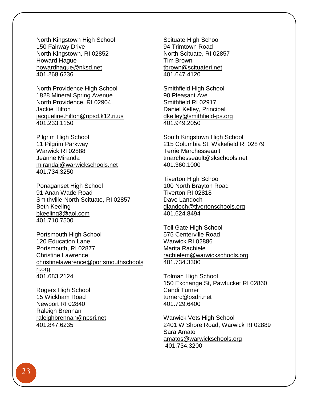North Kingstown High School 150 Fairway Drive North Kingstown, RI 02852 Howard Hague [howardhague@nksd.net](mailto:howardhague@nksd.net) 401.268.6236

North Providence High School 1828 Mineral Spring Avenue North Providence, RI 02904 Jackie Hilton [jacqueline.hilton@npsd.k12.ri.us](mailto:jacqueline.hilton@npsd.k12.ri.us) 401.233.1150

Pilgrim High School 11 Pilgrim Parkway Warwick RI 02888 Jeanne Miranda [mirandaj@warwickschools.net](mailto:mirandaj@warwickschools.net) 401.734.3250

Ponaganset High School 91 Anan Wade Road Smithville-North Scituate, RI 02857 Beth Keeling [bkeeling3@aol.com](mailto:bkeeling3@aol.com) 401.710.7500

Portsmouth High School 120 Education Lane Portsmouth, RI 02877 Christine Lawrence [christinelawerence@portsmouthschools](mailto:christinelawerence@portsmouthschoolsri.org) [ri.org](mailto:christinelawerence@portsmouthschoolsri.org) 401.683.2124

Rogers High School 15 Wickham Road Newport RI 02840 Raleigh Brennan [raleighbrennan@npsri.net](mailto:raleighbrennan@npsri.net) 401.847.6235

Scituate High School 94 Trimtown Road North Scituate, RI 02857 Tim Brown [tbrown@scituateri.net](mailto:tbrown@scituateri.net) 401.647.4120

Smithfield High School 90 Pleasant Ave Smithfield RI 02917 Daniel Kelley, Principal [dkelley@smithfield-ps.org](mailto:dkelley@smithfield-ps.org) 401.949.2050

South Kingstown High School 215 Columbia St, Wakefield RI 02879 Terrie Marchesseault [tmarchesseault@skschools.net](mailto:tmarchesseault@skschools.net) 401.360.1000

Tiverton High School 100 North Brayton Road Tiverton RI 02818 Dave Landoch [dlandoch@tivertonschools.org](mailto:dlandoch@tivertonschools.org) 401.624.8494

Toll Gate High School 575 Centerville Road Warwick RI 02886 Marita Rachiele [rachielem@warwickschools.org](mailto:rachielem@warwickschools.org) 401.734.3300

Tolman High School 150 Exchange St, Pawtucket RI 02860 Candi Turner [turnerc@psdri.net](mailto:turnerc@psdri.net) 401.729.6400

Warwick Vets High School 2401 W Shore Road, Warwick RI 02889 Sara Amato [amatos@warwickschools.org](mailto:amatos@warwickschools.org) 401.734.3200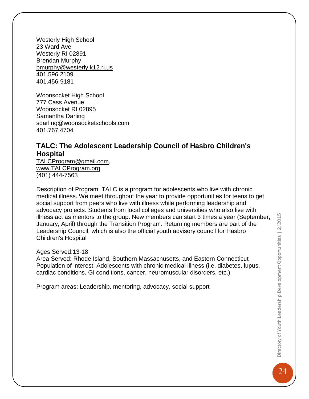Westerly High School 23 Ward Ave Westerly RI 02891 Brendan Murphy [bmurphy@westerly.k12.ri.us](mailto:bmurphy@westerly.k12.ri.us) 401.596.2109 401.456-9181

Woonsocket High School 777 Cass Avenue Woonsocket RI 02895 Samantha Darling [sdarling@woonsocketschools.com](mailto:sdarling@woonsocketschools.com) 401.767.4704

## **TALC: The Adolescent Leadership Council of Hasbro Children's Hospital**

[TALCProgram@gmail.com,](mailto:TALCProgram@gmail.com) [www.TALCProgram.org](http://www.talcprogram.org/) (401) 444-7563

Description of Program: TALC is a program for adolescents who live with chronic medical illness. We meet throughout the year to provide opportunities for teens to get social support from peers who live with illness while performing leadership and advocacy projects. Students from local colleges and universities who also live with illness act as mentors to the group. New members can start 3 times a year (September, January, April) through the Transition Program. Returning members are part of the Leadership Council, which is also the official youth advisory council for Hasbro Children's Hospital

Ages Served:13-18

Area Served: Rhode Island, Southern Massachusetts, and Eastern Connecticut Population of interest: Adolescents with chronic medical illness (i.e. diabetes, lupus, cardiac conditions, GI conditions, cancer, neuromuscular disorders, etc.)

Program areas: Leadership, mentoring, advocacy, social support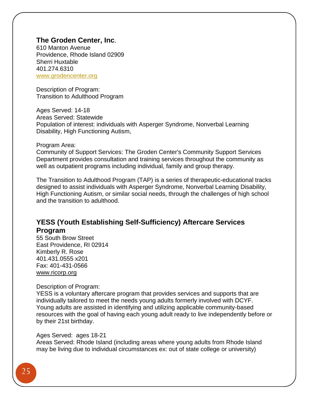## **The Groden Center, Inc**.

610 Manton Avenue Providence, Rhode Island 02909 Sherri Huxtable 401.274.6310 [www.grodencenter.org](http://www.grodencenter.org/)

Description of Program: Transition to Adulthood Program

Ages Served: 14-18 Areas Served: Statewide Population of interest: individuals with Asperger Syndrome, Nonverbal Learning Disability, High Functioning Autism,

#### Program Area:

Community of Support Services: The Groden Center's Community Support Services Department provides consultation and training services throughout the community as well as outpatient programs including individual, family and group therapy.

The Transition to Adulthood Program (TAP) is a series of therapeutic-educational tracks designed to assist individuals with Asperger Syndrome, Nonverbal Learning Disability, High Functioning Autism, or similar social needs, through the challenges of high school and the transition to adulthood.

## **YESS (Youth Establishing Self-Sufficiency) Aftercare Services Program**

55 South Brow Street East Providence, RI 02914 Kimberly R. Rose 401.431.0555 x201 Fax: 401-431-0566 [www.ricorp.org](http://www.ricorp.org/)

#### Description of Program:

YESS is a voluntary aftercare program that provides services and supports that are individually tailored to meet the needs young adults formerly involved with DCYF. Young adults are assisted in identifying and utilizing applicable community-based resources with the goal of having each young adult ready to live independently before or by their 21st birthday.

#### Ages Served: ages 18-21

Areas Served: Rhode Island (including areas where young adults from Rhode Island may be living due to individual circumstances ex: out of state college or university)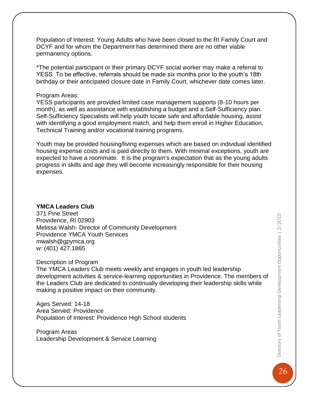Population of Interest: Young Adults who have been closed to the RI Family Court and DCYF and for whom the Department has determined there are no other viable permanency options.

\*The potential participant or their primary DCYF social worker may make a referral to YESS. To be effective, referrals should be made six months prior to the youth's 18th birthday or their anticipated closure date in Family Court, whichever date comes later.

#### Program Areas:

YESS participants are provided limited case management supports (8-10 hours per month), as well as assistance with establishing a budget and a Self-Sufficiency plan. Self-Sufficiency Specialists will help youth locate safe and affordable housing, assist with identifying a good employment match, and help them enroll in Higher Education, Technical Training and/or vocational training programs.

Youth may be provided housing/living expenses which are based on individual identified housing expense costs and is paid directly to them. With minimal exceptions, youth are expected to have a roommate. It is the program's expectation that as the young adults progress in skills and age they will become increasingly responsible for their housing expenses.

#### **YMCA Leaders Club**

371 Pine Street Providence, RI 02903 Melissa Walsh- Director of Community Development Providence YMCA Youth Services [mwalsh@gpymca.org](mailto:mwalsh@gpymca.org) w: (401) 427.1865

#### Description of Program

The YMCA Leaders Club meets weekly and engages in youth led leadership development activities & service-learning opportunities in Providence. The members of the Leaders Club are dedicated to continually developing their leadership skills while making a positive impact on their community.

Ages Served: 14-18 Area Served: Providence Population of Interest: Providence High School students

Program Areas Leadership Development & Service Learning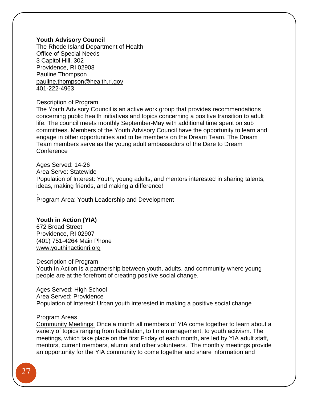#### **Youth Advisory Council**

The Rhode Island Department of Health Office of Special Needs 3 Capitol Hill, 302 Providence, RI 02908 Pauline Thompson [pauline.thompson@health.ri.gov](mailto:pauline.thompson@health.ri.gov) 401-222-4963

#### Description of Program

The Youth Advisory Council is an active work group that provides recommendations concerning public health initiatives and topics concerning a positive transition to adult life. The council meets monthly September-May with additional time spent on sub committees. Members of the Youth Advisory Council have the opportunity to learn and engage in other opportunities and to be members on the Dream Team. The Dream Team members serve as the young adult ambassadors of the Dare to Dream **Conference** 

Ages Served: 14-26 Area Serve: Statewide Population of Interest: Youth, young adults, and mentors interested in sharing talents, ideas, making friends, and making a difference!

Program Area: Youth Leadership and Development

#### **[Youth in Action \(YIA\)](http://www.211ri.org/find/Details.aspx?OrgId=30017)**

.

672 Broad Street Providence, RI 02907 (401) 751-4264 Main Phone [www.youthinactionri.org](http://www.youthinactionri.org/)

#### Description of Program

Youth In Action is a partnership between youth, adults, and community where young people are at the forefront of creating positive social change.

Ages Served: High School Area Served: Providence Population of Interest: Urban youth interested in making a positive social change

#### Program Areas

Community Meetings: Once a month all members of YIA come together to learn about a variety of topics ranging from facilitation, to time management, to youth activism. The meetings, which take place on the first Friday of each month, are led by YIA adult staff, mentors, current members, alumni and other volunteers. The monthly meetings provide an opportunity for the YIA community to come together and share information and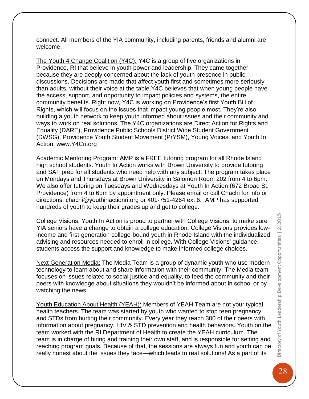connect. All members of the YIA community, including parents, friends and alumni are welcome.

The Youth 4 Change Coalition (Y4C): Y4C is a group of five organizations in Providence, RI that believe in youth power and leadership. They came together because they are deeply concerned about the lack of youth presence in public discussions. Decisions are made that affect youth first and sometimes more seriously than adults, without their voice at the table.Y4C believes that when young people have the access, support, and opportunity to impact policies and systems, the entire community benefits. Right now, Y4C is working on Providence's first Youth Bill of Rights, which will focus on the issues that impact young people most. They're also building a youth network to keep youth informed about issues and their community and ways to work on real solutions. The Y4C organizations are Direct Action for Rights and Equality (DARE), Providence Public Schools District Wide Student Government (DWSG), Providence Youth Student Movement (PrYSM), Young Voices, and Youth In Action. www.Y4Cri.org

Academic Mentoring Program: AMP is a FREE tutoring program for all Rhode Island high school students. Youth In Action works with Brown University to provide tutoring and SAT prep for all students who need help with any subject. The program takes place on Mondays and Thursdays at Brown University in Salomon Room 202 from 4 to 6pm. We also offer tutoring on Tuesdays and Wednesdays at Youth In Action (672 Broad St. Providence) from 4 to 6pm by appointment only. Please email or call Chachi for info or directions: chachi@youthinactionri.org or 401-751-4264 ext 6. AMP has supported hundreds of youth to keep their grades up and get to college.

College Visions: Youth In Action is proud to partner with College Visions, to make sure YIA seniors have a change to obtain a college education. College Visions provides lowincome and first-generation college-bound youth in Rhode Island with the individualized advising and resources needed to enroll in college. With College Visions' guidance, students access the support and knowledge to make informed college choices.

Next Generation Media: The Media Team is a group of dynamic youth who use modern technology to learn about and share information with their community. The Media team focuses on issues related to social justice and equality, to feed the community and their peers with knowledge about situations they wouldn't be informed about in school or by watching the news.

Youth Education About Health (YEAH): Members of YEAH Team are not your typical health teachers. The team was started by youth who wanted to stop teen pregnancy and STDs from hurting their community. Every year they reach 300 of their peers with information about pregnancy, HIV & STD prevention and health behaviors. Youth on the team worked with the RI Department of Health to create the YEAH curriculum. The team is in charge of hiring and training their own staff, and is responsible for setting and reaching program goals. Because of that, the sessions are always fun and youth can be really honest about the issues they face—which leads to real solutions! As a part of its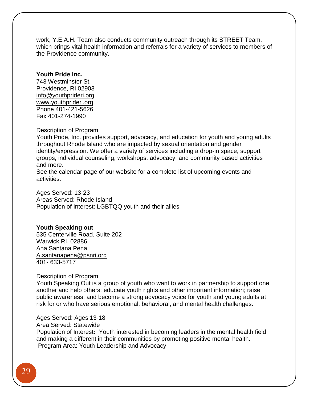work, Y.E.A.H. Team also conducts community outreach through its STREET Team, which brings vital health information and referrals for a variety of services to members of the Providence community.

## **Youth Pride Inc.**

743 Westminster St. Providence, RI 02903 [info@youthprideri.org](mailto:info@youthprideri.org) [www.youthprideri.org](http://www.youthprideri.org/) Phone 401-421-5626 Fax 401-274-1990

#### Description of Program

Youth Pride, Inc. provides support, advocacy, and education for youth and young adults throughout Rhode Island who are impacted by sexual orientation and gender identity/expression. We offer a variety of services including a drop-in space, support groups, individual counseling, workshops, advocacy, and community based activities and more.

See the calendar page of our website for a complete list of upcoming events and activities.

Ages Served: 13-23 Areas Served: Rhode Island Population of Interest: LGBTQQ youth and their allies

#### **Youth Speaking out**

535 Centerville Road, Suite 202 Warwick RI, 02886 Ana Santana Pena [A.santanapena@psnri.org](mailto:A.santanapena@psnri.org) 401- 633-5717

Description of Program:

Youth Speaking Out is a group of youth who want to work in partnership to support one another and help others; educate youth rights and other important information; raise public awareness, and become a strong advocacy voice for youth and young adults at risk for or who have serious emotional, behavioral, and mental health challenges.

Ages Served: Ages 13-18 Area Served: Statewide Population of Interest**:** Youth interested in becoming leaders in the mental health field and making a different in their communities by promoting positive mental health. Program Area: Youth Leadership and Advocacy